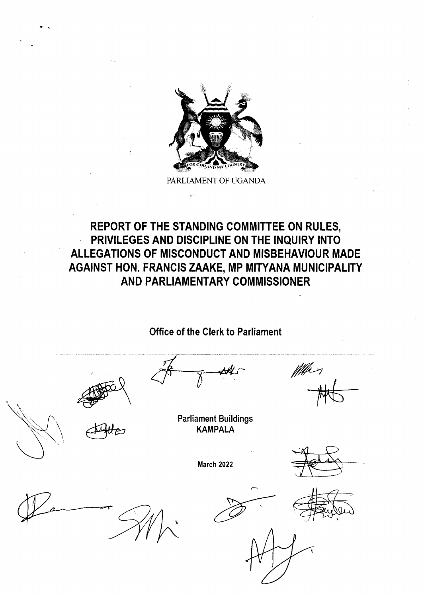

PARLIAMENT OF UGANDA

## REPORT OF THE STANDING COMMITTEE ON RULES, PRIVILEGES AND DISCIPLINE ON THE INQUIRY INTO ALLEGATIONS OF MISCONDUCT AND MISBEHAVIOUR MADE AGAINST HON. FRANCIS ZAAKE, MP MITYANA MUNICIPALITY AND PARLIAMENTARY COMMISSIONER

Office of the Clerk to Parliament



fffer )

Parliament Buildings KAMPALA

March 2022

 $\overline{\phantom{0}}$ 

 $\overline{C}$ 

 $\lesssim$ 

r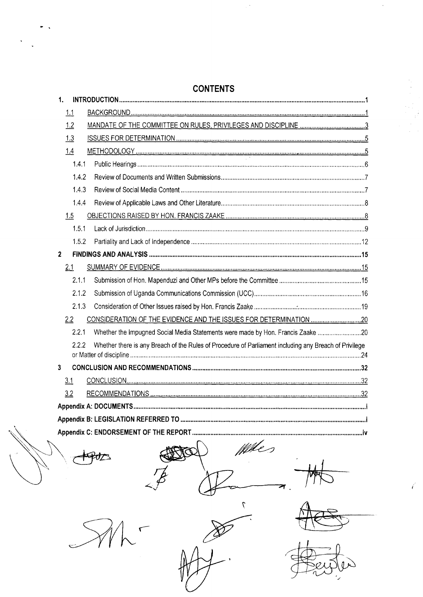| <b>CONTENTS</b>                                                                                              |  |
|--------------------------------------------------------------------------------------------------------------|--|
| 1.                                                                                                           |  |
| 1,1                                                                                                          |  |
| 1.2                                                                                                          |  |
| 1.3                                                                                                          |  |
| 1.4                                                                                                          |  |
| 1.4.1                                                                                                        |  |
| 1.4.2                                                                                                        |  |
| 1.4.3                                                                                                        |  |
| 1.4.4                                                                                                        |  |
| 1.5                                                                                                          |  |
| 1.5.1                                                                                                        |  |
| 1.5.2                                                                                                        |  |
| $\overline{2}$                                                                                               |  |
| 2.1                                                                                                          |  |
| 2.1.1                                                                                                        |  |
| 2.1.2                                                                                                        |  |
| 2.1.3                                                                                                        |  |
| 2.2                                                                                                          |  |
| 2.2.1<br>Whether the Impugned Social Media Statements were made by Hon. Francis Zaake 20                     |  |
| Whether there is any Breach of the Rules of Procedure of Parliament including any Breach of Privilege<br>222 |  |
|                                                                                                              |  |
| 3                                                                                                            |  |
| 3.1                                                                                                          |  |
| 3.2                                                                                                          |  |
|                                                                                                              |  |
|                                                                                                              |  |
|                                                                                                              |  |

 $\frac{1}{4}$ 

 $\ddot{\phantom{a}}$ 

 $\hat{\mathbf{v}}$ 

When  $\overline{\alpha}$ স  ${\mathcal I}$ 

 $\mathcal{L}$ 

 $\mathcal{L}$ 

 $\ddot{\phantom{1}}$ 

 $\sqrt{2}$ 

 $\overline{\mathcal{L}}$ 

 $\sqrt{}$ 

 $\gtrapprox$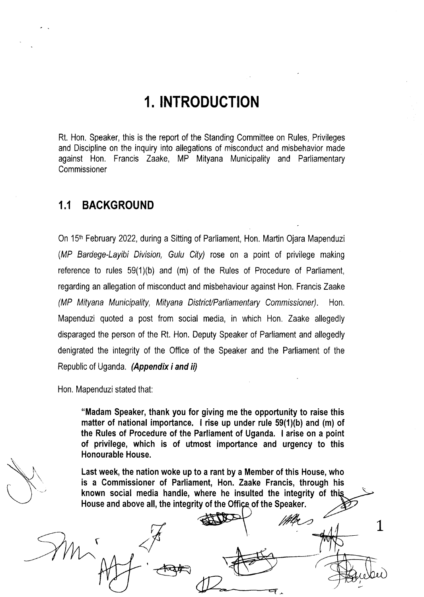# l.INTRODUCTION

Rt. Hon. Speaker, this is the repoft of the Standing Committee on Rules, Privileges and Discipline on the inquiry into allegations of misconduct and misbehavior made against Hon. Francis Zaake, MP Mityana Municipality and Parliamentary **Commissioner** 

### 1.1 BACKGROUND

On 15<sup>th</sup> February 2022, during a Sitting of Parliament, Hon. Martin Ojara Mapenduzi (MP Bardege-Layibi Division, Gulu City) rose on a point of privilege making reference to rules 59(1)(b) and (m) of the Rules of Procedure of Parliament. regarding an allegation of misconduct and misbehaviour against Hon. Francis Zaake (MP Mityana Municipality, Mityana District/Parliamentary Commissioner). Hon. Mapenduzi quoted a post from social media, in which Hon. Zaake allegedly disparaged the person of the Rt, Hon, Deputy Speaker of Parliament and allegedly denigrated the integrity of the Office of the Speaker and the Parliament of the Republic of Uganda. (Appendix i and ii)

Hon. Mapenduzi stated that:

t

"Madam Speaker, thank you for giving me the opportunity to raise this matter of national importance. I rise up under rule 59(1)(b) and (m) of the Rules of Procedure of the Parliament of Uganda. I arise on a point of privilege, which is of utmost importance and urgency to this Honourable House.

Last week, the nation woke up to a rant by a Member of this House, who is a Commissioner of Parliament, Hon. Zaake Francis, through his known social media handle, where he insulted the integrity of th House and above all, the integrity of the Office of the Speaker. /ru,

L

l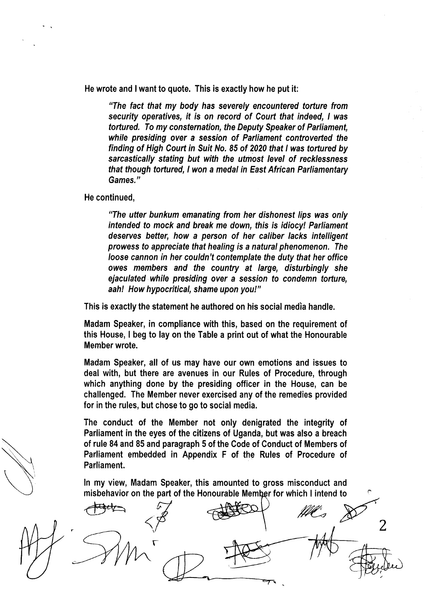He wrote and lwant to quote. This is exactly how he put it:

"The fact that my body has seyerely encountered torture from security operatives, it is on record of Court that indeed, I was tortured. To my consternation, the Deputy Speaker of Parliament, while presiding over a session of Parliament controverted the finding of High Court in Suit No. 85 of 2020 that I was tortured by sarcastically stating but with the utmost level of recklessness that though tortured, lwon a medal in East African Parliamentary Games."

He continued,

"The utter bunkum emanating from her dishonest lips was only intended to mock and break me down, fhis is idiocy! Parliament deseryes better, how a person of her caliber lacks intelligent prowess to appreciate that healing is a natural phenomenon. The Ioose cannon in her couldn't contemplate the duty that her office owes members and the country at large, disturbingly she ejaculated while presiding over a session to condemn torture, aah! How hypocritical, shame upon you!"

This is exactly the statement he authored on his social media handle.

Madam Speaker, in compliance with this, based on the requirement of this House, I beg to lay on the Table a print out of what the Honourable Member wrote.

Madam Speaker, all of us may have our own emotions and issues to deal with, but there are avenues in our Rules of Procedure, through which anything done by the presiding officer in the House, can be challenged. The Member never exercised any of the remedies provided for in the rules, but chose to go to social media.

The conduct of the Member not only denigrated the integrity of Parliament in the eyes of the citizens of Uganda, but was also a breach of rule 84 and 85 and paragraph 5 of the Code of Conduct of Members of Parliament embedded in Appendix F of the Rules of Procedure of Parliament.

ln my view, Madam Speaker, this amounted to gross misconduct and misbehavior on the part of the Honourable Member for which I intend to

.<br>T r ffl. 2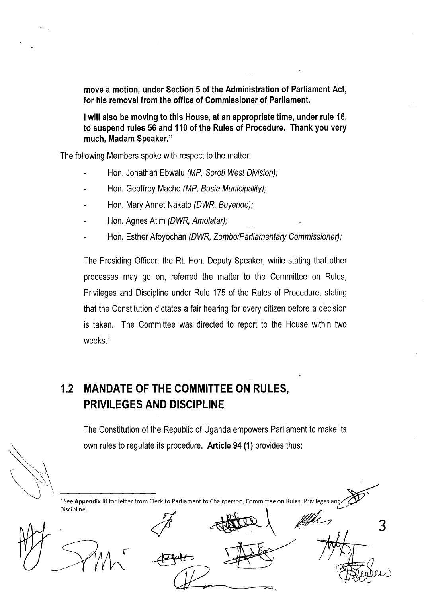move a motion, under Section 5 of the Administration of Parliament Act, for his removal from the office of Commissioner of Parliament.

lwill also be moving to this House, at an appropriate time, under rule 16, to suspend rules 56 and 110 of the Rules of Procedure. Thank you very much, Madam Speaker."

The following Members spoke with respect to the matter:

- Hon. Jonathan Ebwalu (MP, Soroti West Division);
- Hon. Geoffrey Macho (MP, Busia Municipality);
- Hon. Mary Annet Nakato (DWR, Buyende);
- Hon. Agnes Atim (DWR, Amolatar);
- Hon. Esther Afoyochan (DWR, Zombo/Parliamentary Commissioner);

The Presiding Officer, the Rt. Hon. Deputy Speaker, while stating that other processes may go on, referred the matter to the Committee on Rules, Privileges and Discipline under Rule 175 of the Rules of Procedure, stating that the Constitution dictates a fair hearing for every citizen before a decision is taken. The Committee was directed to report to the House within two weeks.<sup>1</sup>

# 1,2 MANDATE OF THE COMMITTEE ON RULES, PRIVILEGES AND DISCIPLINE

The Constitution of the Republic of Uganda empowers Parliament to make its own rules to regulate its procedure. Article 94 (1) provides thus:

 $<sup>1</sup>$  See Appendix iii for letter from Clerk to Parliament to Chairperson, Committee on Rules, Privileges and</sup> 3 Discipline. r fffels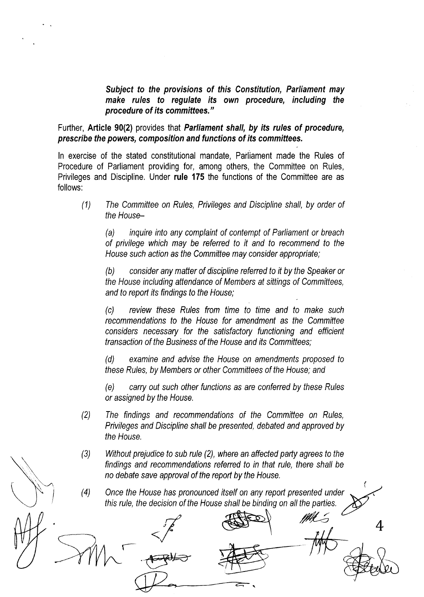Subiect to the provisions of this Constitution, Parliament may make rules to regulate its own procedure, including the procedure of its committees."

Further, Article 90(2) provides that Parliament shall, by its rules of procedure, prescribe the powers, composition and functions of its commitfees.

ln exercise of the stated constitutional mandate, Parliament made the Rules of Procedure of Parliament providing for, among others, the Committee on Rules, Privileges and Discipline, Under rule 175 the functions of the Committee are as follows:

(1) The Committee on Ru/es, Privileges and Discipline shall, by order of the House-

(a) inquire into any complaint of contempt of Parliament or breach of privilege which may be referred to it and to recommend to the House such action as fhe Committee may consider appropriate;

(b) consider any matter of discipline referred to it by the Speaker or the House including attendance of Members af siffings of Committees, and to report its findings to the House;

(c) review fhese Rules from time to time and to make such recommendations to the House for amendmenf as the Committee considers necessary for the satisfactory functioning and efficient transaction of the Buslness of the House and its Committees;

(d) examine and advise the House on amendments proposed fo these Rules, by Members or other Committees of the House; and

(e) carry out such other functions as are conferred by these Ru/es or assigned by the House,

- (2) The findings and recommendations of the Committee on Rules, Privileges and Discipline shall be presented, debated and approved by the House.
- (3) Without prejudice fo sub rule (2), where an affected party agrees fo fhe findings and recommendations referred to in that rule, there shall be no debate save approval of the report by the House.
- (4) Once the House has pronounced itself on any report presented under this rule, the decision of the House shall be binding on all the parties.  $M\lesssim$  4

(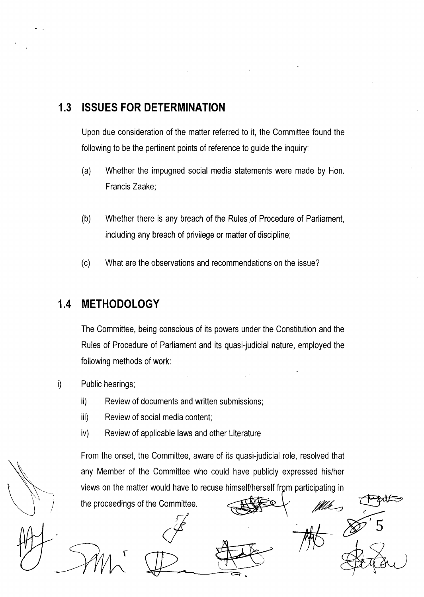## 1.3 ISSUES FOR DETERMINATION

Upon due consideration of the matter referred to it, the Committee found the following to be the pertinent points of reference to guide the inquiry:

- (a) Whether the impugned social media statements were made by Hon. Francis Zaake;
- (b) Whether there is any breach of the Rules of Procedure of Parliament, including any breach of privilege or matter of discipline;
- (c) What are the observations and recommendations on the issue?

## 1.4 METHODOLOGY

The Committee, being conscious of its powers under the Constitution and the Rules of Procedure of Parliament and its quasi-judicial nature, employed the following methods of work:

- i) Public hearings;
	- ii) Review of documents and written submissions;
	- iii) Review of social media content;
	- iv) Review of applicable laws and other Literature

From the onset, the Committee, aware of its quasi-judicial role, resolved that any Member of the Committee who could have publicly expressed his/her views on the matter would have to recuse himself/herself from participating in fflk

5

the proceedings of the Committee.

t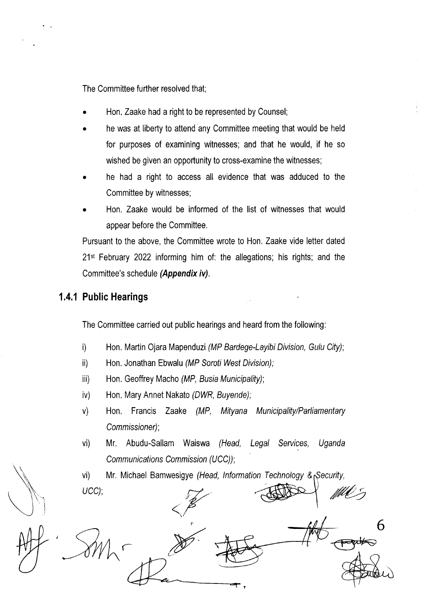The Committee further resolved that;

- Hon. Zaake had a right to be represented by Counsel;
- . he was at liberty to attend any Committee meeting that would be held for purposes of examining witnesses; and that he would, if he so wished be given an opportunity to cross-examine the witnesses;
- . he had a right to access all evidence that was adduced to the Committee by witnesses;
- . Hon. Zaake would be informed of the list of witnesses that would appear before the Committee.

Pursuant to the above, the Committee wrote to Hon. Zaake vide letter dated  $21<sup>st</sup>$  February 2022 informing him of: the allegations; his rights; and the Committee's schedule (Appendix iv).

#### 1.4.1 Public Hearings

The Committee carried out public hearings and heard from the following:

- i) Hon, Martin Ojara Mapenduzi (MP Bardege-Layibi Division, Gulu City);
- ii) Hon. Jonathan Ebwalu (MP Soroti West Division);
- iii) Hon. Geoffrey Macho (MP, Busia Municipality);
- iv) Hon, Mary Annet Nakato (DWR, Buyende);
- v) Hon, Francis Zaake (MP, Mityana Municipality/Parliamentary Commissioner);
- vi) Mr. Abudu-Sallam Waiswa (Head, Legal Services, Uganda Communications Commission (UCC));

vi) Mr. Michael Bamwesigye (Head, Information Technology & Security,

r I ucc);  $\frac{1}{2}$   $\frac{1}{2}$   $\frac{1}{2}$   $\frac{1}{2}$   $\frac{1}{2}$ 6  $\overline{\mathcal{C}}$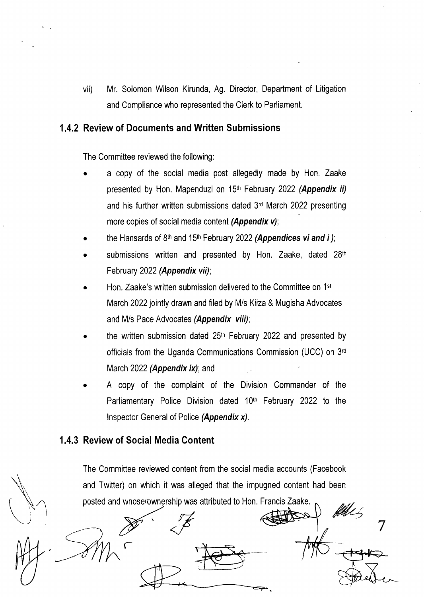vii) Mr. Solomon Wilson Kirunda, Ag. Director, Department of Litigation and Compliance who represented the Clerk to Parliament,

#### 1.4.2 Review of Documents and Written Submissions

The Committee reviewed the following:

- a copy of the social media post allegedly made by Hon. Zaake presented by Hon, Mapenduzi on  $15<sup>th</sup>$  February 2022 (Appendix ii) and his further written submissions dated  $3<sup>rd</sup>$  March 2022 presenting more copies of social media content (Appendix  $v$ );
- the Hansards of 8<sup>th</sup> and 15<sup>th</sup> February 2022 (Appendices vi and i);
- submissions written and presented by Hon. Zaake, dated 28th February 2022 (Appendix vii);
- Hon. Zaake's written submission delivered to the Committee on 1<sup>st</sup> March 2022 jointly drawn and filed by M/s Kiiza & Mugisha Advocates and M/s Pace Advocates (Appendix viii);
- the written submission dated  $25<sup>th</sup>$  February 2022 and presented by officials from the Uganda Communications Commission (UCC) on 3'd March 2022 (Appendix  $ix$ ); and
- A copy of the complaint of the Division Commander of the Parliamentary Police Division dated  $10<sup>th</sup>$  February 2022 to the lnspector General of Police (Appendix x).

### 1.4.3 Review of Social Media Content

مز<br>م

The Committee reviewed content from the social media accounts (Facebook and Twitter) on which it was alleged that the impugned content had been posted and whose ownership was attributed to Hon. Francis Zaake.<br>Allen

7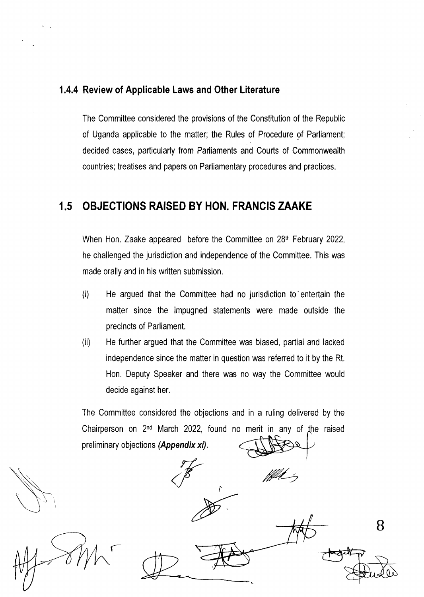#### 1.4.4 Review of Applicable Laws and Other Literature

The Committee considered the provisions of the Constitution of the Republic of Uganda applicable to the matter; the Rules of Procedure of Parliament; decided cases, particularly from Parliaments and Courts of Commonwealth countries; treatises and papers on Parliamentary procedures and practices.

## 1.5 OBJECTIONS RAISED BY HON. FRANCIS ZAAKE

When Hon. Zaake appeared before the Committee on  $28<sup>th</sup>$  February 2022, he challenged the jurisdiction and independence of the Committee. This was made orally and in his written submission,

- (i) He argued that the Committee had no jurisdiction to'enteftain the matter since the impugned statements were made outside the precincts of Parliament.
- (ii) He further argued that the Committee was biased, partial and lacked independence since the matter in question was referred to it by the Rt. Hon. Deputy Speaker and there was no way the Committee would decide against her,

The Committee considered the objections and in a ruling delivered by the Chairperson on 2<sup>nd</sup> March 2022, found no merit in any of the raised preliminary objections (Appendix xi).

fflik 's

f

B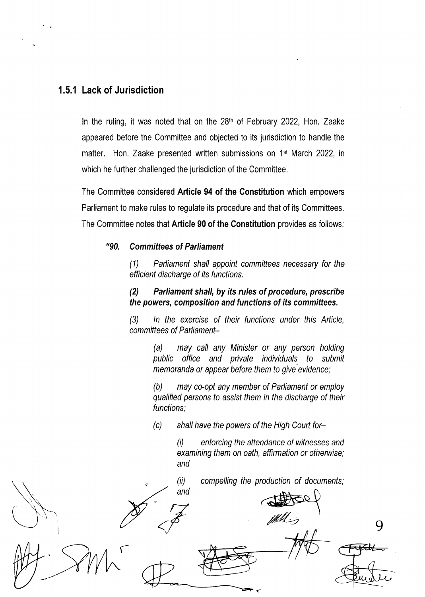### 1.5.1 Lack of Jurisdiction

In the ruling, it was noted that on the  $28<sup>th</sup>$  of February 2022, Hon. Zaake appeared before the Committee and objected to its jurisdiction to handle the matter. Hon. Zaake presented written submissions on 1st March 2022, in which he further challenged the jurisdiction of the Committee.

The Committee considered Article 94 of the Gonstitution which empowers Parliament to make rules to regulate its procedure and that of its Committees, The Committee notes that Article 90 of the Constitution provides as follows:

#### "90. Committees of Parliament

(1) Parliament shall appoint committees necessary for the efficient discharge of its functions.

#### (2) Parliament shall, by its rules of procedure, prescribe the powers, composition and functions of its commiffees.

(3) ln the exercise of their functions under this Article, committees of Parliament-

> (a) may call any Minister or any person holding public office and private individuals to submit memoranda or appear before them to give evidence;

> (b) may co-opt any member of Parliament or employ qualified persons to assist them in the discharge of their functions;

(c) shall have the powers of the High Court for-

 $(i)$  enforcing the attendance of witnesses and examining them on oath, affirmation or otherwise; and

compelling the production of documents;

and (-  $\blacktriangledown$  $\mathbb{Z}$  9

(iil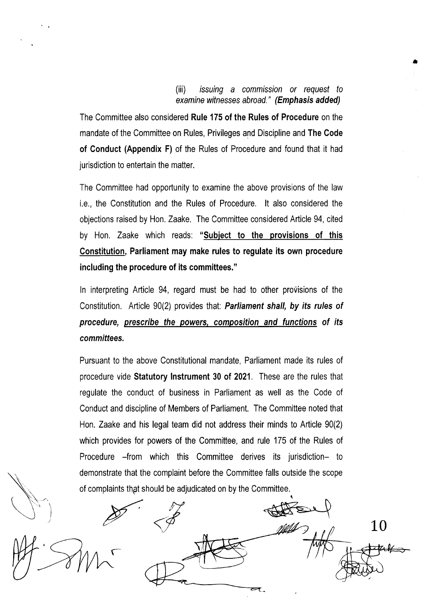#### (iii) issuing a commission or request to examine witnesses abroad." (Emphasis added)

a

The Committee also considered Rule 175 of the Rules of Procedure on the mandate of the Committee on Rules, Privileges and Discipline and The Code of Conduct (Appendix F) of the Rules of Procedure and found that it had jurisdiction to entertain the matter.

The Committee had opportunity to examine the above provisions of the law i.e., the Constitution and the Rules of Procedure. lt also considered the objections raised by Hon, Zaake. The Committee considered Article 94, cited by Hon. Zaake which reads: "Subject to the provisions of this Constitution, Parliament may make rules to regulate its own procedure including the procedure of its committees."

In interpreting Article 94, regard must be had to other provisions of the Constitution. Article 90(2) provides that: Parliament shall, by its rules of procedure, prescribe the powers. composition and functions of its committees.

Pursuant to the above Constitutional mandate, Parliament made its rules of procedure vide Statutory lnstrument 30 of 2021, These are the rules that regulate the conduct of business in Parliament as well as the Code of Conduct and discipline of Members of Parliament. The Committee noted that Hon. Zaake and his legal team did not address their minds to Article 90(2) which provides for powers of the Committee, and rule 175 of the Rules of Procedure -from which this Committee derives its jurisdiction- to demonstrate that the complaint before the Committee falls outside the scope of complaints that should be adjudicated on by the Committee.

r 10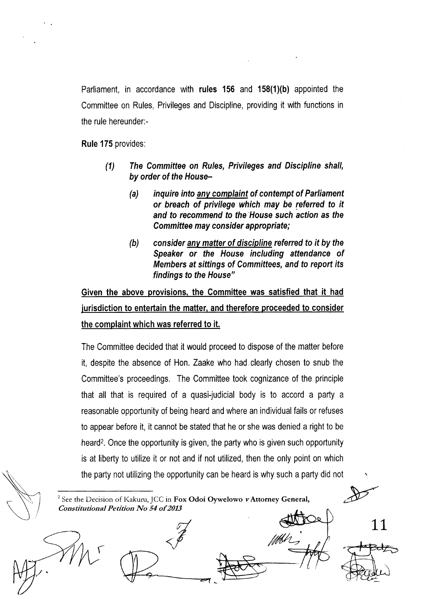Parliament, in accordance with rules 156 and  $158(1)(b)$  appointed the Committee on Rules, Privileges and Discipline, providing it with functions in the rule hereunder:-

Rule 175 provides:

- (1) The Committee on Rules, Privileges and Discipline shall, by order of the House-
	- (a) inquire into any complaint of contempt of Parliament or breach of privilege which may be referred to it and to recommend to the House such action as the Committee may consider appropriate;
	- (b) consider anv matter of discipline referred to it by the Speaker or the House including attendance of Members at sittings of Committees, and to report its findings to the House"

Given the above provisions, the Committee was satisfied that it had jurisdiction to entertain the matter, and therefore proceeded to consider the complaint which was referred to it.

The Committee decided that it would proceed to dispose of the matter before it, despite the absence of Hon. Zaake who had clearly chosen to snub the Committee's proceedings, The Committee took cognizance of the principle that all that is required of a quasi-judicial body is to accord a party <sup>a</sup> reasonable opportunity of being heard and where an individual fails or refuses to appear before it, it cannot be stated that he or she was denied a right to be heard<sup>2</sup>. Once the opportunity is given, the party who is given such opportunity is at liberty to utilize it or not and if not utilized, then the only point on which the party not utilizing the opporlunity can be heard is why such a party did not  $\frac{1}{\sqrt{2}}$ 

<sup>2</sup> See the Decision of Kakuru, JCC in Fox Odoi Oywelowo vAttorney General, Constitutional Petition No 54 of 2013

f

11

/Mal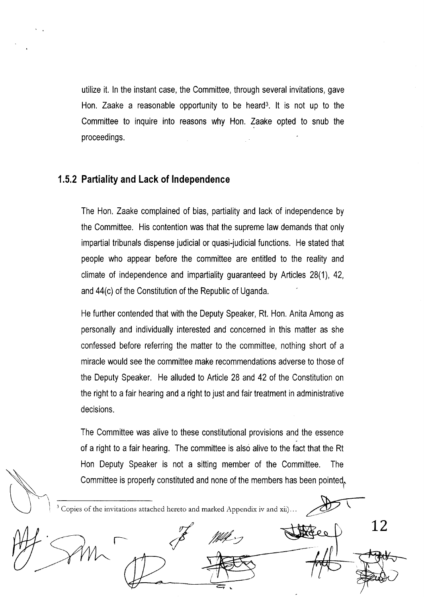utilize it. ln the instant case, the Committee, through several invitations, gave Hon, Zaake a reasonable opportunity to be heard<sup>3</sup>. It is not up to the Committee to inquire into reasons why Hon. Zaake opted to snub the proceedings.

#### 1.5.2 Partiality and Lack of lndependence

The Hon, Zaake complained of bias, partiality and lack of independence by the Committee. His contention was that the supreme law demands that only impaftial tribunals dispense judicial or quasi-judicial functions. He stated that people who appear before the committee are entitled to the reality and climate of independence and impartiality guaranteed by Articles 28(1), 42, and 44(c) of the Constitution of the Republic of Uganda.

He further contended that with the Deputy Speaker, Rt. Hon. Anita Among as personally and individually interested and concerned in this matter as she confessed before referring the matter to the committee, nothing short of a miracle would see the committee make recommendations adverse to those of the Deputy Speaker. He alluded to Article 28 and 42 of lhe Constitution on the right to a fair hearing and a right to just and fair treatment in administrative decisions.

The Committee was alive to these constitutional provisions and the essence of a right to a fair hearing. The committee is also alive to the fact that the Rt Hon Deputy Speaker is not a sitting member of the Committee. The Committee is properly constituted and none of the members has been pointed,.

i Copies of the invitations attached hereto and marked Appendix iv and xii)...  $\mathbb{Z}$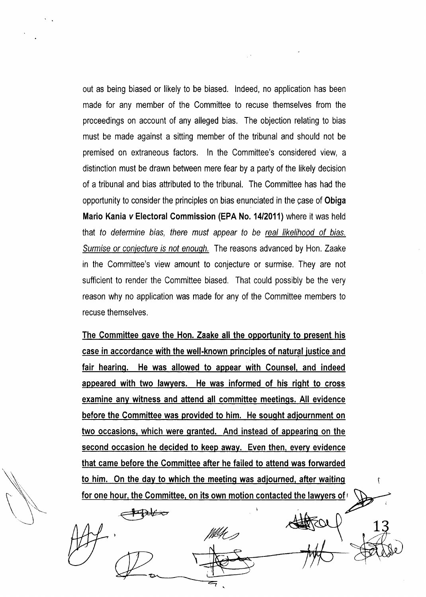out as being biased or likely to be biased. lndeed, no application has been made for any member of the Committee to recuse themselves from the proceedings on account of any alleged bias. The objection relating to bias must be made against a sitting member of the tribunal and should not be premised on extraneous factors. ln the Committee's considered view, <sup>a</sup> distinction must be drawn between mere fear by a party of the likely decision of a tribunal and bias attributed to the tribunal, The Committee has had the opportunity to consider the principles on bias enunciated in the case of Obiga Mario Kania v Electoral Commission (EPA No. 1412011) where it was held that fo determine bias, there must appear to be real likelihood of bias. Surmise or coniecture is not enouqh. The reasons advanced by Hon. Zaake in the Committee's view amount to conjecture or surmise. They are not sufficient to render the Committee biased. That could possibly be the very reason why no application was made for any of the Committee members to recuse themselves,

The Committee gave the Hon. Zaake all the opportunity to present his case in accordance with the well-known principles of natural justice and fair hearing. He was allowed to appear with Counsel, and indeed appeared with two lawvers. He was informed of his riqht to cross examine any witness and attend all committee meetings. All evidence before the Committee was provided to him. He sought adjournment on two occasions, which were granted. And instead of appearing on the second occasion he decided to keep away. Even then, every evidence that came before the Committee after he failed to attend was forwarded to him. On the day to which the meeting was adjourned, after waiting for one hour, the Committee, on its own motion contacted the lawyers of

 $\bigoplus \nvdash$ 

 $\frac{1}{4}$ 

٢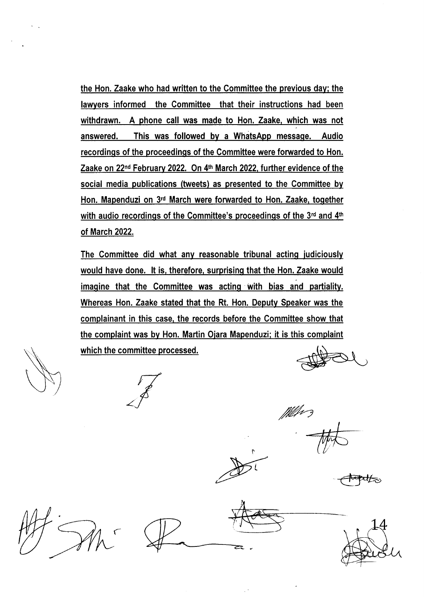the Hon. Zaake who had written to the Committee the previous day; the lawyers informed the Committee that their instructions had been withdrawn. A phone call was made to Hon. Zaake, which was not answered. This was followed by a WhatsApp message. Audio recordinqs of the proceedinqs of the Committee were forwarded to Hon Zaake on 22<sup>nd</sup> February 2022. On 4<sup>th</sup> March 2022, further evidence of the social media publications (tweets) as presented to the Committee bv Hon. Mapenduzi on 3'd March were forwarded to Hon. Zaake, togethet with audio recordings of the Committee's proceedings of the  $3<sup>rd</sup>$  and  $4<sup>th</sup>$ of March 2022.

The Committee did what any reasonable tribunal actinq iudiciously would have done. It is, therefore, surprising that the Hon. Zaake would imagine that the Committee was acting with bias and partiality. Whereas Hon. Zaake stated that the Rt. Hon. Deputy Speaker was the complainant in this case, the records before the Committee show that the complaint was by Hon. Martin Ojara Mapenduzi; it is this complaint which the committee processed.

fflet 2

 $\bigoplus_{i=1}^n\bigoplus_{j=1}^n\bigoplus_{j=1}^n\bigoplus_{j=1}^n\bigoplus_{j=1}^n\bigoplus_{j=1}^n\bigoplus_{j=1}^n\bigoplus_{j=1}^n\bigoplus_{j=1}^n\bigoplus_{j=1}^n\bigoplus_{j=1}^n\bigoplus_{j=1}^n\bigoplus_{j=1}^n\bigoplus_{j=1}^n\bigoplus_{j=1}^n\bigoplus_{j=1}^n\bigoplus_{j=1}^n\bigoplus_{j=1}^n\bigoplus_{j=1}^n\bigoplus_{j=1}^n$ 



I

l

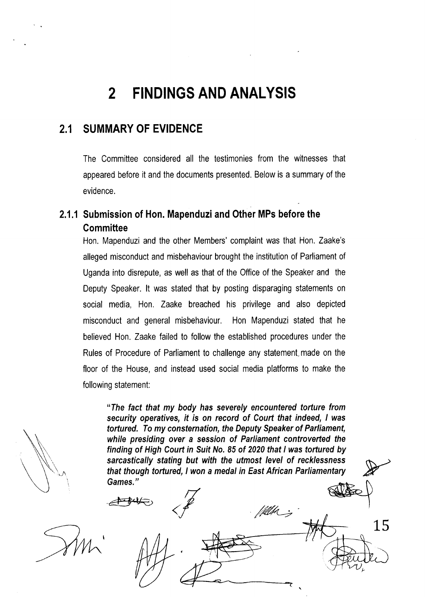# 2 FINDINGS AND ANALYSIS

## 2.1 SUMMARY OF EVIDENCE

The Committee considered all the testimonies from the witnesses that appeared before it and the documents presented. Below is a summary of the evidence.

## 2.1.1 Submission of Hon. Mapenduzi and Other MPs before the **Committee**

Hon. Mapenduzi and the other Members' complaint was that Hon, Zaake's alleged misconduct and misbehaviour brought the institution of Parliament of Uganda into disrepute, as well as that of the Office of the Speaker and the Deputy Speaker. lt was stated that by posting disparaging statements on social media, Hon, Zaake breached his privilege and also depicted misconduct and general misbehaviour. Hon Mapenduzi stated that he believed Hon. Zaake failed to follow the established procedures under the Rules of Procedure of Parliament to challenge any statement. made on the floor of the House, and instead used social media platforms to make the following statement:

"The fact that my body has severely encountered torture from security operatives, if is on record of Court that indeed, I was tortured. To my consternation, the Deputy Speaker of Parliament, while presiding over a session of Parliament controverted the finding of High Court in Suit No. 85 of 2020 that I was tortured by sarcastically stating but with the utmost level of recklessness that though tortured, I won a medal in East African Parliamentary Games."

/kllp\_;

 $\triangle$ 

v

t 15